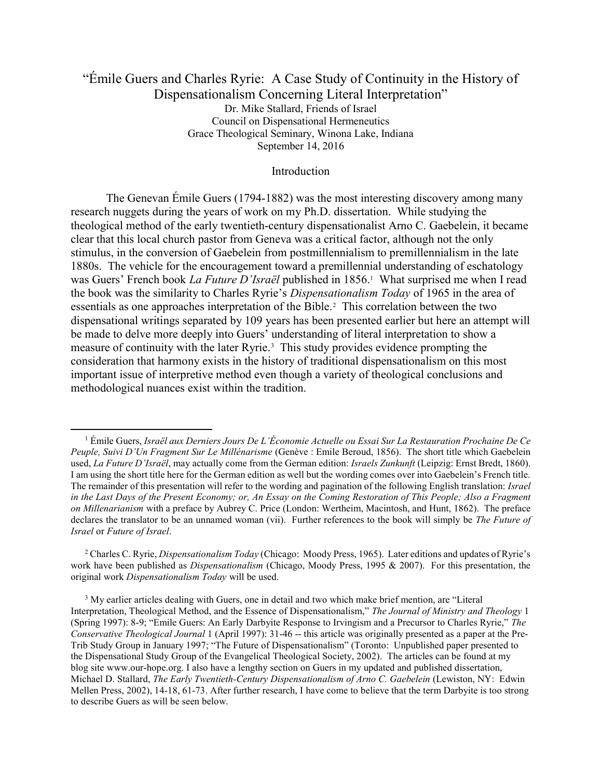# "Émile Guers and Charles Ryrie: A Case Study of Continuity in the History of Dispensationalism Concerning Literal Interpretation" Dr. Mike Stallard, Friends of Israel Council on Dispensational Hermeneutics Grace Theological Seminary, Winona Lake, Indiana September 14, 2016

#### Introduction

 The Genevan Émile Guers (1794-1882) was the most interesting discovery among many research nuggets during the years of work on my Ph.D. dissertation. While studying the theological method of the early twentieth-century dispensationalist Arno C. Gaebelein, it became clear that this local church pastor from Geneva was a critical factor, although not the only stimulus, in the conversion of Gaebelein from postmillennialism to premillennialism in the late 1880s. The vehicle for the encouragement toward a premillennial understanding of eschatology was Guers' French book *La Future D'Israël* published in 1856.<sup>1</sup> What surprised me when I read the book was the similarity to Charles Ryrie's Dispensationalism Today of 1965 in the area of essentials as one approaches interpretation of the Bible.<sup>2</sup> This correlation between the two dispensational writings separated by 109 years has been presented earlier but here an attempt will be made to delve more deeply into Guers' understanding of literal interpretation to show a measure of continuity with the later Ryrie.<sup>3</sup> This study provides evidence prompting the consideration that harmony exists in the history of traditional dispensationalism on this most important issue of interpretive method even though a variety of theological conclusions and methodological nuances exist within the tradition.

 $\overline{a}$ 

<sup>&</sup>lt;sup>1</sup> Émile Guers, Israël aux Derniers Jours De L'Économie Actuelle ou Essai Sur La Restauration Prochaine De Ce Peuple, Suivi D'Un Fragment Sur Le Millénarisme (Genève : Emile Beroud, 1856). The short title which Gaebelein used, La Future D'Israël, may actually come from the German edition: Israels Zunkunft (Leipzig: Ernst Bredt, 1860). I am using the short title here for the German edition as well but the wording comes over into Gaebelein's French title. The remainder of this presentation will refer to the wording and pagination of the following English translation: Israel in the Last Days of the Present Economy; or, An Essay on the Coming Restoration of This People; Also a Fragment on Millenarianism with a preface by Aubrey C. Price (London: Wertheim, Macintosh, and Hunt, 1862). The preface declares the translator to be an unnamed woman (vii). Further references to the book will simply be *The Future of* Israel or Future of Israel.

<sup>&</sup>lt;sup>2</sup> Charles C. Ryrie, *Dispensationalism Today* (Chicago: Moody Press, 1965). Later editions and updates of Ryrie's work have been published as *Dispensationalism* (Chicago, Moody Press, 1995 & 2007). For this presentation, the original work Dispensationalism Today will be used.

<sup>&</sup>lt;sup>3</sup> My earlier articles dealing with Guers, one in detail and two which make brief mention, are "Literal Interpretation, Theological Method, and the Essence of Dispensationalism," The Journal of Ministry and Theology 1 (Spring 1997): 8-9; "Emile Guers: An Early Darbyite Response to Irvingism and a Precursor to Charles Ryrie," The Conservative Theological Journal 1 (April 1997): 31-46 -- this article was originally presented as a paper at the Pre-Trib Study Group in January 1997; "The Future of Dispensationalism" (Toronto: Unpublished paper presented to the Dispensational Study Group of the Evangelical Theological Society, 2002). The articles can be found at my blog site www.our-hope.org. I also have a lengthy section on Guers in my updated and published dissertation, Michael D. Stallard, The Early Twentieth-Century Dispensationalism of Arno C. Gaebelein (Lewiston, NY: Edwin Mellen Press, 2002), 14-18, 61-73. After further research, I have come to believe that the term Darbyite is too strong to describe Guers as will be seen below.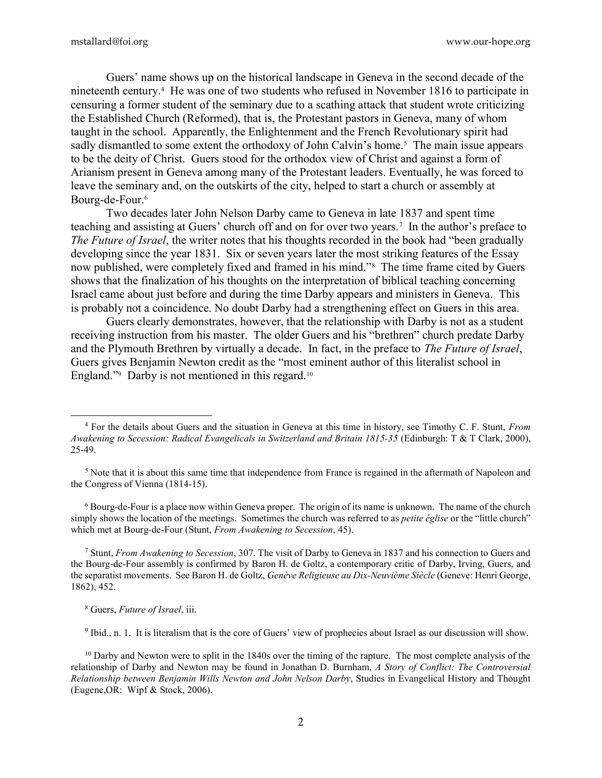Guers' name shows up on the historical landscape in Geneva in the second decade of the nineteenth century.<sup>4</sup> He was one of two students who refused in November 1816 to participate in censuring a former student of the seminary due to a scathing attack that student wrote criticizing the Established Church (Reformed), that is, the Protestant pastors in Geneva, many of whom taught in the school. Apparently, the Enlightenment and the French Revolutionary spirit had sadly dismantled to some extent the orthodoxy of John Calvin's home.<sup>5</sup> The main issue appears to be the deity of Christ. Guers stood for the orthodox view of Christ and against a form of Arianism present in Geneva among many of the Protestant leaders. Eventually, he was forced to leave the seminary and, on the outskirts of the city, helped to start a church or assembly at Bourg-de-Four.<sup>6</sup>

 Two decades later John Nelson Darby came to Geneva in late 1837 and spent time teaching and assisting at Guers' church off and on for over two years.<sup>7</sup> In the author's preface to The Future of Israel, the writer notes that his thoughts recorded in the book had "been gradually" developing since the year 1831. Six or seven years later the most striking features of the Essay now published, were completely fixed and framed in his mind."<sup>8</sup> The time frame cited by Guers shows that the finalization of his thoughts on the interpretation of biblical teaching concerning Israel came about just before and during the time Darby appears and ministers in Geneva. This is probably not a coincidence. No doubt Darby had a strengthening effect on Guers in this area.

 Guers clearly demonstrates, however, that the relationship with Darby is not as a student receiving instruction from his master. The older Guers and his "brethren" church predate Darby and the Plymouth Brethren by virtually a decade. In fact, in the preface to The Future of Israel, Guers gives Benjamin Newton credit as the "most eminent author of this literalist school in England."<sup>9</sup> Darby is not mentioned in this regard.<sup>10</sup>

<sup>6</sup> Bourg-de-Four is a place now within Geneva proper. The origin of its name is unknown. The name of the church simply shows the location of the meetings. Sometimes the church was referred to as *petite église* or the "little church" which met at Bourg-de-Four (Stunt, From Awakening to Secession, 45).

<sup>7</sup> Stunt, From Awakening to Secession, 307. The visit of Darby to Geneva in 1837 and his connection to Guers and the Bourg-de-Four assembly is confirmed by Baron H. de Goltz, a contemporary critic of Darby, Irving, Guers, and the separatist movements. See Baron H. de Goltz, Genève Religieuse au Dix-Neuvième Siècle (Geneve: Henri George, 1862), 452.

<sup>8</sup> Guers, Future of Israel, iii.

 $\overline{a}$ 

<sup>9</sup> Ibid., n. 1. It is literalism that is the core of Guers' view of prophecies about Israel as our discussion will show.

<sup>&</sup>lt;sup>4</sup> For the details about Guers and the situation in Geneva at this time in history, see Timothy C. F. Stunt, From Awakening to Secession: Radical Evangelicals in Switzerland and Britain 1815-35 (Edinburgh: T & T Clark, 2000), 25-49.

<sup>&</sup>lt;sup>5</sup> Note that it is about this same time that independence from France is regained in the aftermath of Napoleon and the Congress of Vienna (1814-15).

<sup>&</sup>lt;sup>10</sup> Darby and Newton were to split in the 1840s over the timing of the rapture. The most complete analysis of the relationship of Darby and Newton may be found in Jonathan D. Burnham, A Story of Conflict: The Controversial Relationship between Benjamin Wills Newton and John Nelson Darby, Studies in Evangelical History and Thought (Eugene,OR: Wipf & Stock, 2006).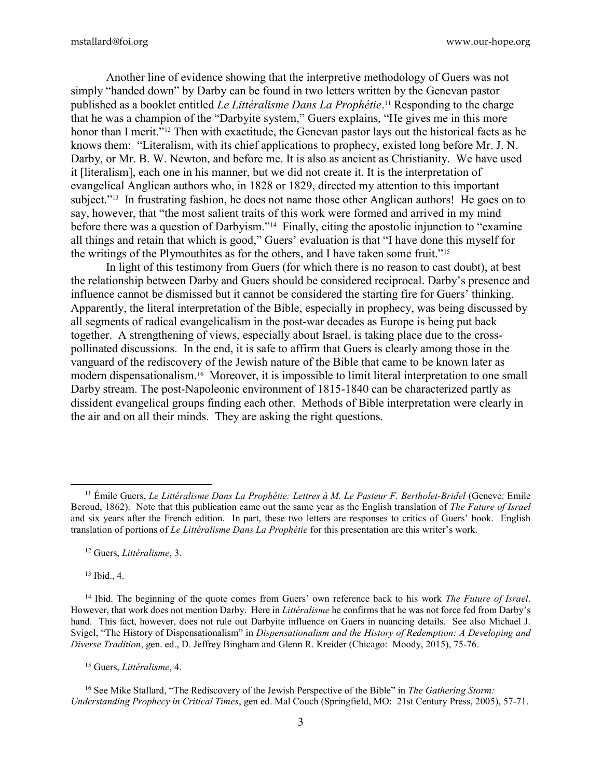Another line of evidence showing that the interpretive methodology of Guers was not simply "handed down" by Darby can be found in two letters written by the Genevan pastor published as a booklet entitled *Le Littéralisme Dans La Prophétie*.<sup>11</sup> Responding to the charge that he was a champion of the "Darbyite system," Guers explains, "He gives me in this more honor than I merit."<sup>12</sup> Then with exactitude, the Genevan pastor lays out the historical facts as he knows them: "Literalism, with its chief applications to prophecy, existed long before Mr. J. N. Darby, or Mr. B. W. Newton, and before me. It is also as ancient as Christianity. We have used it [literalism], each one in his manner, but we did not create it. It is the interpretation of evangelical Anglican authors who, in 1828 or 1829, directed my attention to this important subject."<sup>13</sup> In frustrating fashion, he does not name those other Anglican authors! He goes on to say, however, that "the most salient traits of this work were formed and arrived in my mind before there was a question of Darbyism."<sup>14</sup> Finally, citing the apostolic injunction to "examine" all things and retain that which is good," Guers' evaluation is that "I have done this myself for the writings of the Plymouthites as for the others, and I have taken some fruit."<sup>15</sup>

 In light of this testimony from Guers (for which there is no reason to cast doubt), at best the relationship between Darby and Guers should be considered reciprocal. Darby's presence and influence cannot be dismissed but it cannot be considered the starting fire for Guers' thinking. Apparently, the literal interpretation of the Bible, especially in prophecy, was being discussed by all segments of radical evangelicalism in the post-war decades as Europe is being put back together. A strengthening of views, especially about Israel, is taking place due to the crosspollinated discussions. In the end, it is safe to affirm that Guers is clearly among those in the vanguard of the rediscovery of the Jewish nature of the Bible that came to be known later as modern dispensationalism.16 Moreover, it is impossible to limit literal interpretation to one small Darby stream. The post-Napoleonic environment of 1815-1840 can be characterized partly as dissident evangelical groups finding each other. Methods of Bible interpretation were clearly in the air and on all their minds. They are asking the right questions.

<sup>12</sup> Guers, *Littéralisme*, 3.

<sup>13</sup> Ibid., 4.

 $\overline{a}$ 

<sup>15</sup> Guers, *Littéralisme*, 4.

 $16$  See Mike Stallard, "The Rediscovery of the Jewish Perspective of the Bible" in The Gathering Storm: Understanding Prophecy in Critical Times, gen ed. Mal Couch (Springfield, MO: 21st Century Press, 2005), 57-71.

<sup>&</sup>lt;sup>11</sup> Émile Guers, *Le Littéralisme Dans La Prophétie: Lettres à M. Le Pasteur F. Bertholet-Bridel* (Geneve: Emile Beroud, 1862). Note that this publication came out the same year as the English translation of The Future of Israel and six years after the French edition. In part, these two letters are responses to critics of Guers' book. English translation of portions of Le Littéralisme Dans La Prophétie for this presentation are this writer's work.

<sup>&</sup>lt;sup>14</sup> Ibid. The beginning of the quote comes from Guers' own reference back to his work *The Future of Israel*. However, that work does not mention Darby. Here in Littéralisme he confirms that he was not force fed from Darby's hand. This fact, however, does not rule out Darbyite influence on Guers in nuancing details. See also Michael J. Svigel, "The History of Dispensationalism" in Dispensationalism and the History of Redemption: A Developing and Diverse Tradition, gen. ed., D. Jeffrey Bingham and Glenn R. Kreider (Chicago: Moody, 2015), 75-76.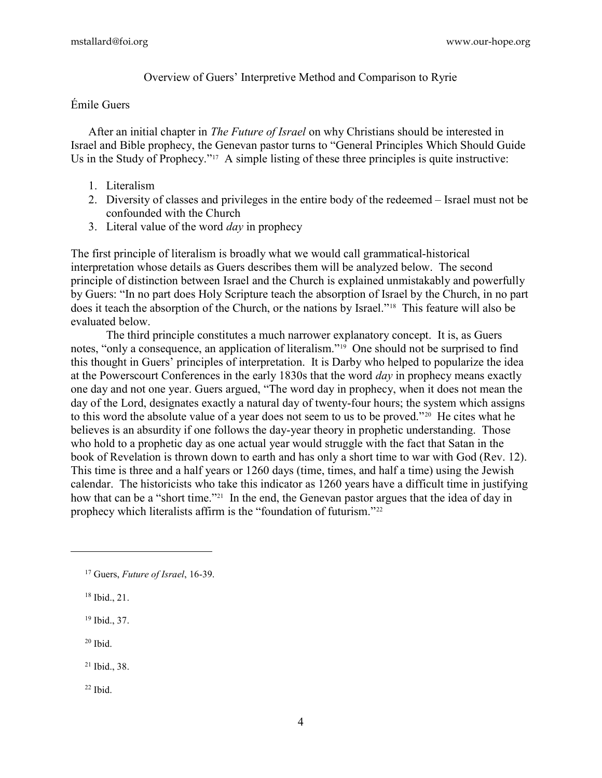Overview of Guers' Interpretive Method and Comparison to Ryrie

# Émile Guers

After an initial chapter in *The Future of Israel* on why Christians should be interested in Israel and Bible prophecy, the Genevan pastor turns to "General Principles Which Should Guide Us in the Study of Prophecy."<sup>17</sup> A simple listing of these three principles is quite instructive:

- 1. Literalism
- 2. Diversity of classes and privileges in the entire body of the redeemed Israel must not be confounded with the Church
- 3. Literal value of the word  $day$  in prophecy

The first principle of literalism is broadly what we would call grammatical-historical interpretation whose details as Guers describes them will be analyzed below. The second principle of distinction between Israel and the Church is explained unmistakably and powerfully by Guers: "In no part does Holy Scripture teach the absorption of Israel by the Church, in no part does it teach the absorption of the Church, or the nations by Israel."18 This feature will also be evaluated below.

 The third principle constitutes a much narrower explanatory concept. It is, as Guers notes, "only a consequence, an application of literalism."19 One should not be surprised to find this thought in Guers' principles of interpretation. It is Darby who helped to popularize the idea at the Powerscourt Conferences in the early 1830s that the word *day* in prophecy means exactly one day and not one year. Guers argued, "The word day in prophecy, when it does not mean the day of the Lord, designates exactly a natural day of twenty-four hours; the system which assigns to this word the absolute value of a year does not seem to us to be proved."20 He cites what he believes is an absurdity if one follows the day-year theory in prophetic understanding. Those who hold to a prophetic day as one actual year would struggle with the fact that Satan in the book of Revelation is thrown down to earth and has only a short time to war with God (Rev. 12). This time is three and a half years or 1260 days (time, times, and half a time) using the Jewish calendar. The historicists who take this indicator as 1260 years have a difficult time in justifying how that can be a "short time."<sup>21</sup> In the end, the Genevan pastor argues that the idea of day in prophecy which literalists affirm is the "foundation of futurism."<sup>22</sup>

 $20$  Ibid.

 $\overline{a}$ 

22 Ibid.

<sup>&</sup>lt;sup>17</sup> Guers, *Future of Israel*, 16-39.

 $18$  Ibid., 21.

<sup>19</sup> Ibid., 37.

 $21$  Ibid., 38.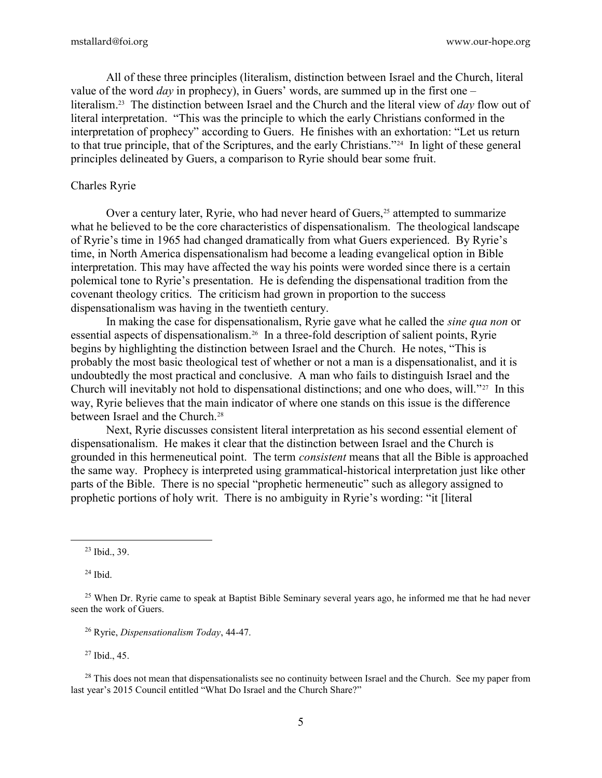All of these three principles (literalism, distinction between Israel and the Church, literal value of the word *day* in prophecy), in Guers' words, are summed up in the first one – literalism.<sup>23</sup> The distinction between Israel and the Church and the literal view of day flow out of literal interpretation. "This was the principle to which the early Christians conformed in the interpretation of prophecy" according to Guers. He finishes with an exhortation: "Let us return to that true principle, that of the Scriptures, and the early Christians."24 In light of these general principles delineated by Guers, a comparison to Ryrie should bear some fruit.

#### Charles Ryrie

Over a century later, Ryrie, who had never heard of Guers,<sup>25</sup> attempted to summarize what he believed to be the core characteristics of dispensationalism. The theological landscape of Ryrie's time in 1965 had changed dramatically from what Guers experienced. By Ryrie's time, in North America dispensationalism had become a leading evangelical option in Bible interpretation. This may have affected the way his points were worded since there is a certain polemical tone to Ryrie's presentation. He is defending the dispensational tradition from the covenant theology critics. The criticism had grown in proportion to the success dispensationalism was having in the twentieth century.

In making the case for dispensationalism, Ryrie gave what he called the *sine qua non* or essential aspects of dispensationalism.26 In a three-fold description of salient points, Ryrie begins by highlighting the distinction between Israel and the Church. He notes, "This is probably the most basic theological test of whether or not a man is a dispensationalist, and it is undoubtedly the most practical and conclusive. A man who fails to distinguish Israel and the Church will inevitably not hold to dispensational distinctions; and one who does, will."27 In this way, Ryrie believes that the main indicator of where one stands on this issue is the difference between Israel and the Church.<sup>28</sup>

Next, Ryrie discusses consistent literal interpretation as his second essential element of dispensationalism. He makes it clear that the distinction between Israel and the Church is grounded in this hermeneutical point. The term consistent means that all the Bible is approached the same way. Prophecy is interpreted using grammatical-historical interpretation just like other parts of the Bible. There is no special "prophetic hermeneutic" such as allegory assigned to prophetic portions of holy writ. There is no ambiguity in Ryrie's wording: "it [literal

<sup>23</sup> Ibid., 39.

 $24$  Ibid.

 $\overline{a}$ 

<sup>27</sup> Ibid., 45.

 $28$  This does not mean that dispensationalists see no continuity between Israel and the Church. See my paper from last year's 2015 Council entitled "What Do Israel and the Church Share?"

<sup>&</sup>lt;sup>25</sup> When Dr. Ryrie came to speak at Baptist Bible Seminary several years ago, he informed me that he had never seen the work of Guers.

<sup>26</sup> Ryrie, Dispensationalism Today, 44-47.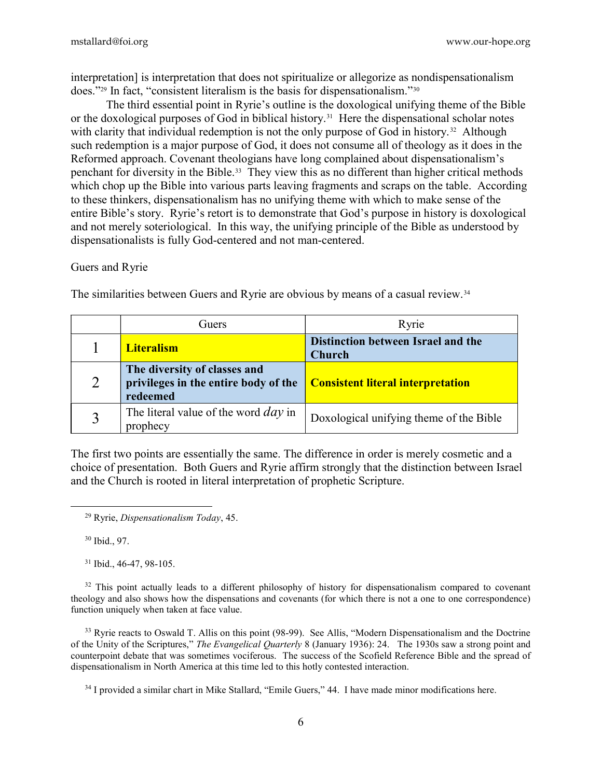interpretation] is interpretation that does not spiritualize or allegorize as nondispensationalism does."29 In fact, "consistent literalism is the basis for dispensationalism."<sup>30</sup>

 The third essential point in Ryrie's outline is the doxological unifying theme of the Bible or the doxological purposes of God in biblical history.<sup>31</sup> Here the dispensational scholar notes with clarity that individual redemption is not the only purpose of God in history.<sup>32</sup> Although such redemption is a major purpose of God, it does not consume all of theology as it does in the Reformed approach. Covenant theologians have long complained about dispensationalism's penchant for diversity in the Bible.33 They view this as no different than higher critical methods which chop up the Bible into various parts leaving fragments and scraps on the table. According to these thinkers, dispensationalism has no unifying theme with which to make sense of the entire Bible's story. Ryrie's retort is to demonstrate that God's purpose in history is doxological and not merely soteriological. In this way, the unifying principle of the Bible as understood by dispensationalists is fully God-centered and not man-centered.

## Guers and Ryrie

The similarities between Guers and Ryrie are obvious by means of a casual review.<sup>34</sup>

|   | Guers)                                                                           | Ryrie                                               |
|---|----------------------------------------------------------------------------------|-----------------------------------------------------|
|   | <b>Literalism</b>                                                                | Distinction between Israel and the<br><b>Church</b> |
| 2 | The diversity of classes and<br>privileges in the entire body of the<br>redeemed | <b>Consistent literal interpretation</b>            |
|   | The literal value of the word $day$ in<br>prophecy                               | Doxological unifying theme of the Bible             |

The first two points are essentially the same. The difference in order is merely cosmetic and a choice of presentation. Both Guers and Ryrie affirm strongly that the distinction between Israel and the Church is rooted in literal interpretation of prophetic Scripture.

<sup>30</sup> Ibid., 97.

 $\overline{a}$ 

<sup>31</sup> Ibid., 46-47, 98-105.

<sup>32</sup> This point actually leads to a different philosophy of history for dispensationalism compared to covenant theology and also shows how the dispensations and covenants (for which there is not a one to one correspondence) function uniquely when taken at face value.

<sup>33</sup> Ryrie reacts to Oswald T. Allis on this point (98-99). See Allis, "Modern Dispensationalism and the Doctrine of the Unity of the Scriptures," The Evangelical Quarterly 8 (January 1936): 24. The 1930s saw a strong point and counterpoint debate that was sometimes vociferous. The success of the Scofield Reference Bible and the spread of dispensationalism in North America at this time led to this hotly contested interaction.

<sup>34</sup> I provided a similar chart in Mike Stallard, "Emile Guers," 44. I have made minor modifications here.

 $29$  Ryrie, *Dispensationalism Today*, 45.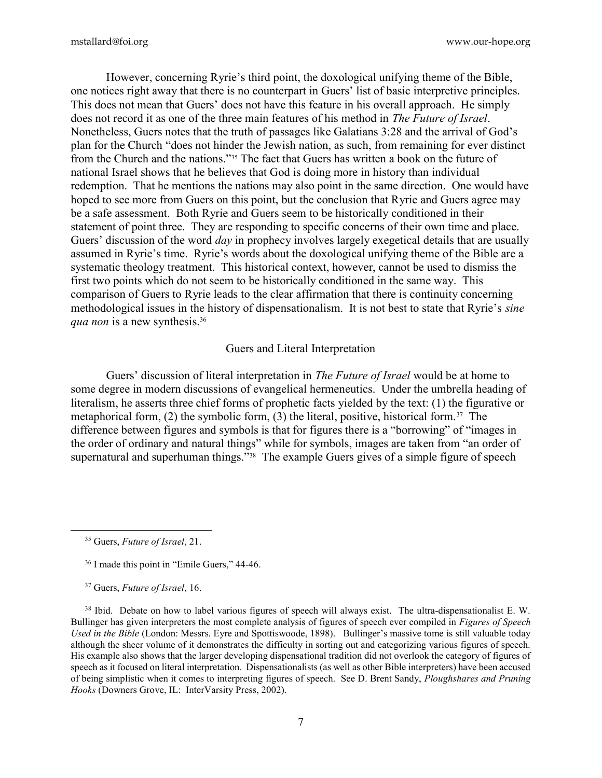However, concerning Ryrie's third point, the doxological unifying theme of the Bible, one notices right away that there is no counterpart in Guers' list of basic interpretive principles. This does not mean that Guers' does not have this feature in his overall approach. He simply does not record it as one of the three main features of his method in The Future of Israel. Nonetheless, Guers notes that the truth of passages like Galatians 3:28 and the arrival of God's plan for the Church "does not hinder the Jewish nation, as such, from remaining for ever distinct from the Church and the nations."35 The fact that Guers has written a book on the future of national Israel shows that he believes that God is doing more in history than individual redemption. That he mentions the nations may also point in the same direction. One would have hoped to see more from Guers on this point, but the conclusion that Ryrie and Guers agree may be a safe assessment. Both Ryrie and Guers seem to be historically conditioned in their statement of point three. They are responding to specific concerns of their own time and place. Guers' discussion of the word *day* in prophecy involves largely exegetical details that are usually assumed in Ryrie's time. Ryrie's words about the doxological unifying theme of the Bible are a systematic theology treatment. This historical context, however, cannot be used to dismiss the first two points which do not seem to be historically conditioned in the same way. This comparison of Guers to Ryrie leads to the clear affirmation that there is continuity concerning methodological issues in the history of dispensationalism. It is not best to state that Ryrie's sine qua non is a new synthesis.<sup>36</sup>

#### Guers and Literal Interpretation

Guers' discussion of literal interpretation in *The Future of Israel* would be at home to some degree in modern discussions of evangelical hermeneutics. Under the umbrella heading of literalism, he asserts three chief forms of prophetic facts yielded by the text: (1) the figurative or metaphorical form, (2) the symbolic form, (3) the literal, positive, historical form.<sup>37</sup> The difference between figures and symbols is that for figures there is a "borrowing" of "images in the order of ordinary and natural things" while for symbols, images are taken from "an order of supernatural and superhuman things."<sup>38</sup> The example Guers gives of a simple figure of speech

 $\overline{a}$ 

<sup>&</sup>lt;sup>35</sup> Guers, *Future of Israel*, 21.

<sup>36</sup> I made this point in "Emile Guers," 44-46.

<sup>&</sup>lt;sup>37</sup> Guers, *Future of Israel*, 16.

<sup>&</sup>lt;sup>38</sup> Ibid. Debate on how to label various figures of speech will always exist. The ultra-dispensationalist E.W. Bullinger has given interpreters the most complete analysis of figures of speech ever compiled in Figures of Speech Used in the Bible (London: Messrs. Eyre and Spottiswoode, 1898). Bullinger's massive tome is still valuable today although the sheer volume of it demonstrates the difficulty in sorting out and categorizing various figures of speech. His example also shows that the larger developing dispensational tradition did not overlook the category of figures of speech as it focused on literal interpretation. Dispensationalists (as well as other Bible interpreters) have been accused of being simplistic when it comes to interpreting figures of speech. See D. Brent Sandy, Ploughshares and Pruning Hooks (Downers Grove, IL: InterVarsity Press, 2002).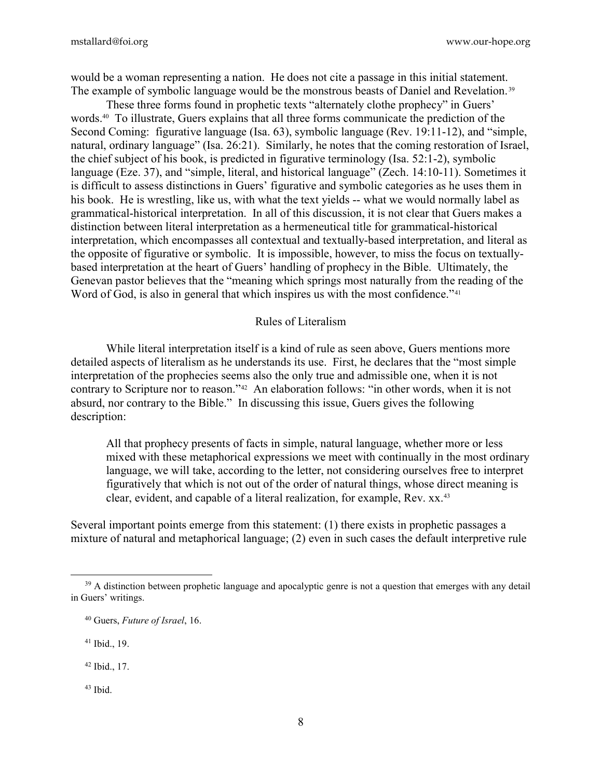would be a woman representing a nation. He does not cite a passage in this initial statement. The example of symbolic language would be the monstrous beasts of Daniel and Revelation.<sup>39</sup>

These three forms found in prophetic texts "alternately clothe prophecy" in Guers' words.40 To illustrate, Guers explains that all three forms communicate the prediction of the Second Coming: figurative language (Isa. 63), symbolic language (Rev. 19:11-12), and "simple, natural, ordinary language" (Isa. 26:21). Similarly, he notes that the coming restoration of Israel, the chief subject of his book, is predicted in figurative terminology (Isa. 52:1-2), symbolic language (Eze. 37), and "simple, literal, and historical language" (Zech. 14:10-11). Sometimes it is difficult to assess distinctions in Guers' figurative and symbolic categories as he uses them in his book. He is wrestling, like us, with what the text yields -- what we would normally label as grammatical-historical interpretation. In all of this discussion, it is not clear that Guers makes a distinction between literal interpretation as a hermeneutical title for grammatical-historical interpretation, which encompasses all contextual and textually-based interpretation, and literal as the opposite of figurative or symbolic. It is impossible, however, to miss the focus on textuallybased interpretation at the heart of Guers' handling of prophecy in the Bible. Ultimately, the Genevan pastor believes that the "meaning which springs most naturally from the reading of the Word of God, is also in general that which inspires us with the most confidence."<sup>41</sup>

### Rules of Literalism

 While literal interpretation itself is a kind of rule as seen above, Guers mentions more detailed aspects of literalism as he understands its use. First, he declares that the "most simple interpretation of the prophecies seems also the only true and admissible one, when it is not contrary to Scripture nor to reason."42 An elaboration follows: "in other words, when it is not absurd, nor contrary to the Bible." In discussing this issue, Guers gives the following description:

All that prophecy presents of facts in simple, natural language, whether more or less mixed with these metaphorical expressions we meet with continually in the most ordinary language, we will take, according to the letter, not considering ourselves free to interpret figuratively that which is not out of the order of natural things, whose direct meaning is clear, evident, and capable of a literal realization, for example, Rev. xx.<sup>43</sup>

Several important points emerge from this statement: (1) there exists in prophetic passages a mixture of natural and metaphorical language; (2) even in such cases the default interpretive rule

<sup>41</sup> Ibid., 19.

 $\overline{a}$ 

<sup>42</sup> Ibid., 17.

43 Ibid.

<sup>&</sup>lt;sup>39</sup> A distinction between prophetic language and apocalyptic genre is not a question that emerges with any detail in Guers' writings.

<sup>40</sup> Guers, Future of Israel, 16.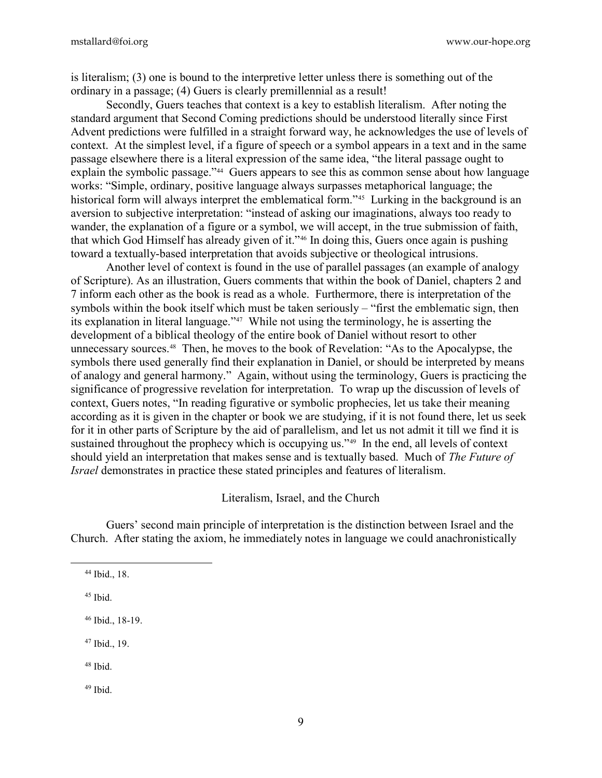is literalism; (3) one is bound to the interpretive letter unless there is something out of the ordinary in a passage; (4) Guers is clearly premillennial as a result!

 Secondly, Guers teaches that context is a key to establish literalism. After noting the standard argument that Second Coming predictions should be understood literally since First Advent predictions were fulfilled in a straight forward way, he acknowledges the use of levels of context. At the simplest level, if a figure of speech or a symbol appears in a text and in the same passage elsewhere there is a literal expression of the same idea, "the literal passage ought to explain the symbolic passage."<sup>44</sup> Guers appears to see this as common sense about how language works: "Simple, ordinary, positive language always surpasses metaphorical language; the historical form will always interpret the emblematical form."<sup>45</sup> Lurking in the background is an aversion to subjective interpretation: "instead of asking our imaginations, always too ready to wander, the explanation of a figure or a symbol, we will accept, in the true submission of faith, that which God Himself has already given of it."46 In doing this, Guers once again is pushing toward a textually-based interpretation that avoids subjective or theological intrusions.

 Another level of context is found in the use of parallel passages (an example of analogy of Scripture). As an illustration, Guers comments that within the book of Daniel, chapters 2 and 7 inform each other as the book is read as a whole. Furthermore, there is interpretation of the symbols within the book itself which must be taken seriously – "first the emblematic sign, then its explanation in literal language."47 While not using the terminology, he is asserting the development of a biblical theology of the entire book of Daniel without resort to other unnecessary sources.48 Then, he moves to the book of Revelation: "As to the Apocalypse, the symbols there used generally find their explanation in Daniel, or should be interpreted by means of analogy and general harmony." Again, without using the terminology, Guers is practicing the significance of progressive revelation for interpretation. To wrap up the discussion of levels of context, Guers notes, "In reading figurative or symbolic prophecies, let us take their meaning according as it is given in the chapter or book we are studying, if it is not found there, let us seek for it in other parts of Scripture by the aid of parallelism, and let us not admit it till we find it is sustained throughout the prophecy which is occupying us."<sup>49</sup> In the end, all levels of context should yield an interpretation that makes sense and is textually based. Much of The Future of Israel demonstrates in practice these stated principles and features of literalism.

Literalism, Israel, and the Church

 Guers' second main principle of interpretation is the distinction between Israel and the Church. After stating the axiom, he immediately notes in language we could anachronistically

 $45$  Ibid.

 $\overline{a}$ 

<sup>46</sup> Ibid., 18-19.

<sup>47</sup> Ibid., 19.

<sup>48</sup> Ibid.

49 Ibid.

<sup>44</sup> Ibid., 18.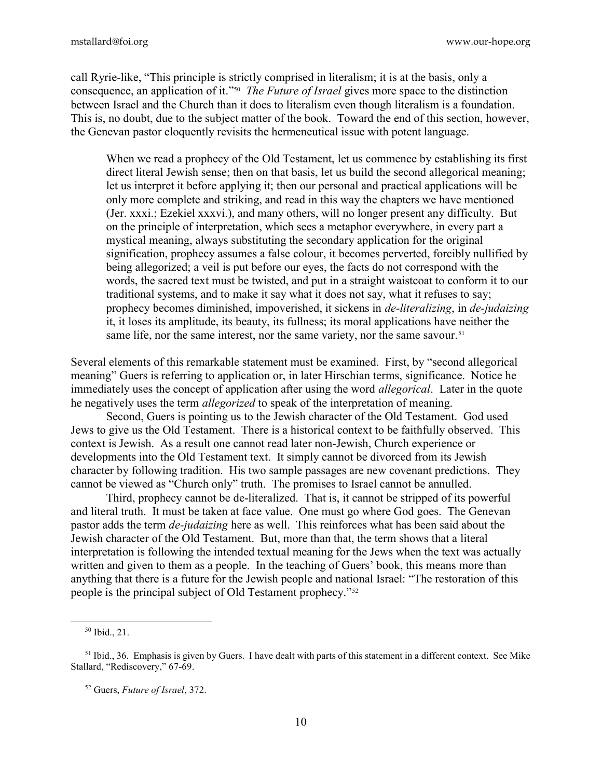mstallard@foi.org www.our-hope.org

call Ryrie-like, "This principle is strictly comprised in literalism; it is at the basis, only a consequence, an application of it."<sup>50</sup> The Future of Israel gives more space to the distinction between Israel and the Church than it does to literalism even though literalism is a foundation. This is, no doubt, due to the subject matter of the book. Toward the end of this section, however, the Genevan pastor eloquently revisits the hermeneutical issue with potent language.

When we read a prophecy of the Old Testament, let us commence by establishing its first direct literal Jewish sense; then on that basis, let us build the second allegorical meaning; let us interpret it before applying it; then our personal and practical applications will be only more complete and striking, and read in this way the chapters we have mentioned (Jer. xxxi.; Ezekiel xxxvi.), and many others, will no longer present any difficulty. But on the principle of interpretation, which sees a metaphor everywhere, in every part a mystical meaning, always substituting the secondary application for the original signification, prophecy assumes a false colour, it becomes perverted, forcibly nullified by being allegorized; a veil is put before our eyes, the facts do not correspond with the words, the sacred text must be twisted, and put in a straight waistcoat to conform it to our traditional systems, and to make it say what it does not say, what it refuses to say; prophecy becomes diminished, impoverished, it sickens in *de-literalizing*, in *de-judaizing* it, it loses its amplitude, its beauty, its fullness; its moral applications have neither the same life, nor the same interest, nor the same variety, nor the same savour.<sup>51</sup>

Several elements of this remarkable statement must be examined. First, by "second allegorical meaning" Guers is referring to application or, in later Hirschian terms, significance. Notice he immediately uses the concept of application after using the word allegorical. Later in the quote he negatively uses the term *allegorized* to speak of the interpretation of meaning.

Second, Guers is pointing us to the Jewish character of the Old Testament. God used Jews to give us the Old Testament. There is a historical context to be faithfully observed. This context is Jewish. As a result one cannot read later non-Jewish, Church experience or developments into the Old Testament text. It simply cannot be divorced from its Jewish character by following tradition. His two sample passages are new covenant predictions. They cannot be viewed as "Church only" truth. The promises to Israel cannot be annulled.

Third, prophecy cannot be de-literalized. That is, it cannot be stripped of its powerful and literal truth. It must be taken at face value. One must go where God goes. The Genevan pastor adds the term *de-judaizing* here as well. This reinforces what has been said about the Jewish character of the Old Testament. But, more than that, the term shows that a literal interpretation is following the intended textual meaning for the Jews when the text was actually written and given to them as a people. In the teaching of Guers' book, this means more than anything that there is a future for the Jewish people and national Israel: "The restoration of this people is the principal subject of Old Testament prophecy."<sup>52</sup>

 $\overline{a}$ 

<sup>50</sup> Ibid., 21.

 $51$  Ibid., 36. Emphasis is given by Guers. I have dealt with parts of this statement in a different context. See Mike Stallard, "Rediscovery," 67-69.

<sup>52</sup> Guers, Future of Israel, 372.